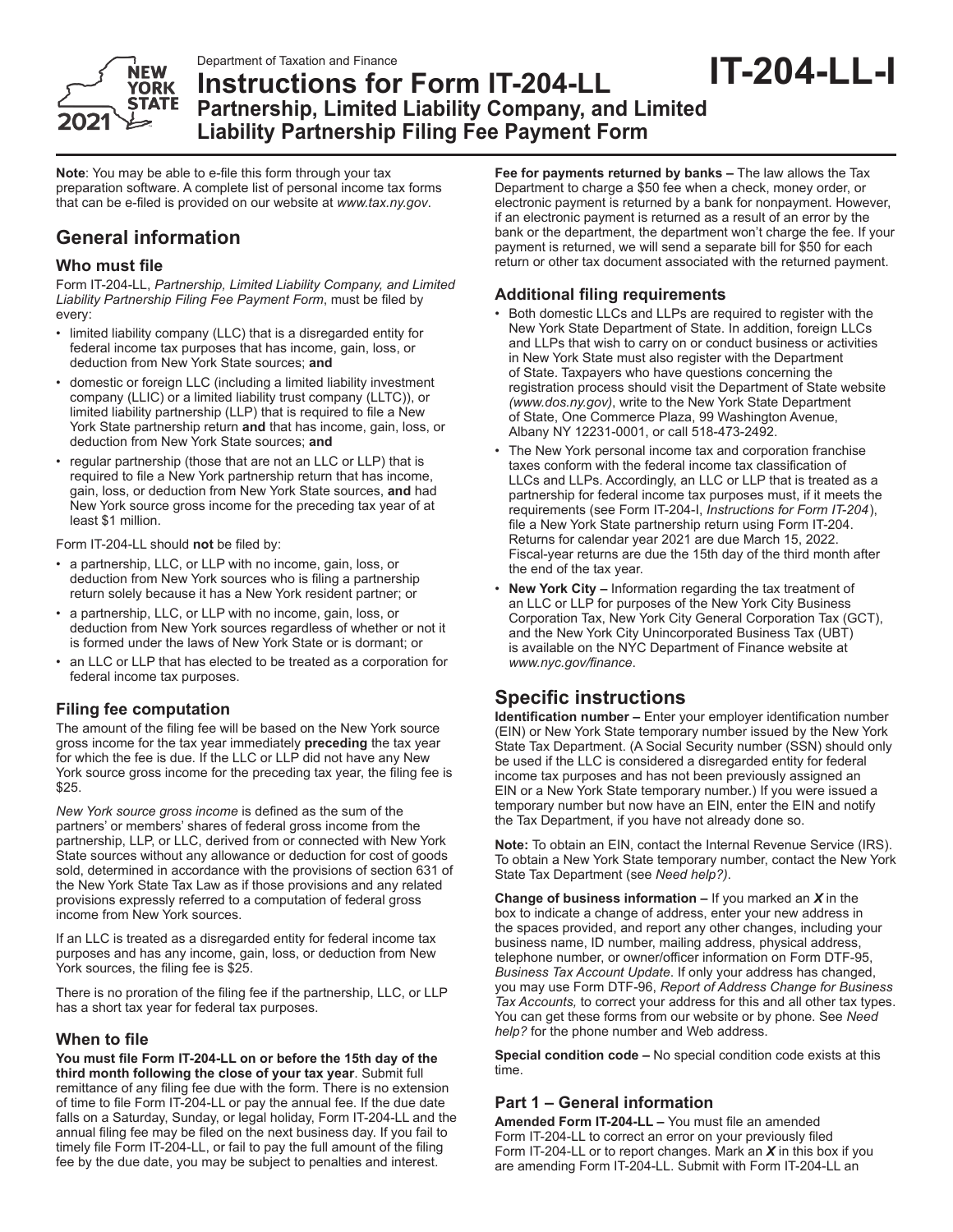

# **Instructions for Form IT-204-LL Partnership, Limited Liability Company, and Limited Liability Partnership Filing Fee Payment Form IT-204-LL-I**

**Note**: You may be able to e-file this form through your tax preparation software. A complete list of personal income tax forms that can be e-filed is provided on our website at *www.tax.ny.gov*.

# **General information**

# **Who must file**

Form IT-204-LL, *Partnership, Limited Liability Company, and Limited Liability Partnership Filing Fee Payment Form*, must be filed by every:

- limited liability company (LLC) that is a disregarded entity for federal income tax purposes that has income, gain, loss, or deduction from New York State sources; **and**
- domestic or foreign LLC (including a limited liability investment company (LLIC) or a limited liability trust company (LLTC)), or limited liability partnership (LLP) that is required to file a New York State partnership return **and** that has income, gain, loss, or deduction from New York State sources; **and**
- regular partnership (those that are not an LLC or LLP) that is required to file a New York partnership return that has income, gain, loss, or deduction from New York State sources, **and** had New York source gross income for the preceding tax year of at least \$1 million.

Form IT-204-LL should **not** be filed by:

- a partnership, LLC, or LLP with no income, gain, loss, or deduction from New York sources who is filing a partnership return solely because it has a New York resident partner; or
- a partnership, LLC, or LLP with no income, gain, loss, or deduction from New York sources regardless of whether or not it is formed under the laws of New York State or is dormant; or
- an LLC or LLP that has elected to be treated as a corporation for federal income tax purposes.

# **Filing fee computation**

The amount of the filing fee will be based on the New York source gross income for the tax year immediately **preceding** the tax year for which the fee is due. If the LLC or LLP did not have any New York source gross income for the preceding tax year, the filing fee is \$25.

*New York source gross income* is defined as the sum of the partners' or members' shares of federal gross income from the partnership, LLP, or LLC, derived from or connected with New York State sources without any allowance or deduction for cost of goods sold, determined in accordance with the provisions of section 631 of the New York State Tax Law as if those provisions and any related provisions expressly referred to a computation of federal gross income from New York sources.

If an LLC is treated as a disregarded entity for federal income tax purposes and has any income, gain, loss, or deduction from New York sources, the filing fee is \$25.

There is no proration of the filing fee if the partnership, LLC, or LLP has a short tax year for federal tax purposes.

# **When to file**

**You must file Form IT-204-LL on or before the 15th day of the third month following the close of your tax year**. Submit full remittance of any filing fee due with the form. There is no extension of time to file Form IT-204-LL or pay the annual fee. If the due date falls on a Saturday, Sunday, or legal holiday, Form IT-204-LL and the annual filing fee may be filed on the next business day. If you fail to timely file Form IT-204-LL, or fail to pay the full amount of the filing fee by the due date, you may be subject to penalties and interest.

**Fee for payments returned by banks –** The law allows the Tax Department to charge a \$50 fee when a check, money order, or electronic payment is returned by a bank for nonpayment. However, if an electronic payment is returned as a result of an error by the bank or the department, the department won't charge the fee. If your payment is returned, we will send a separate bill for \$50 for each return or other tax document associated with the returned payment.

# **Additional filing requirements**

- Both domestic LLCs and LLPs are required to register with the New York State Department of State. In addition, foreign LLCs and LLPs that wish to carry on or conduct business or activities in New York State must also register with the Department of State. Taxpayers who have questions concerning the registration process should visit the Department of State website *(www.dos.ny.gov)*, write to the New York State Department of State, One Commerce Plaza, 99 Washington Avenue, Albany NY 12231-0001, or call 518-473-2492.
- The New York personal income tax and corporation franchise taxes conform with the federal income tax classification of LLCs and LLPs. Accordingly, an LLC or LLP that is treated as a partnership for federal income tax purposes must, if it meets the requirements (see Form IT-204-I, *Instructions for Form IT-204*), file a New York State partnership return using Form IT-204. Returns for calendar year 2021 are due March 15, 2022. Fiscal-year returns are due the 15th day of the third month after the end of the tax year.
- **New York City –** Information regarding the tax treatment of an LLC or LLP for purposes of the New York City Business Corporation Tax, New York City General Corporation Tax (GCT), and the New York City Unincorporated Business Tax (UBT) is available on the NYC Department of Finance website at *www.nyc.gov/finance*.

# **Specific instructions**

**Identification number –** Enter your employer identification number (EIN) or New York State temporary number issued by the New York State Tax Department. (A Social Security number (SSN) should only be used if the LLC is considered a disregarded entity for federal income tax purposes and has not been previously assigned an EIN or a New York State temporary number.) If you were issued a temporary number but now have an EIN, enter the EIN and notify the Tax Department, if you have not already done so.

**Note:** To obtain an EIN, contact the Internal Revenue Service (IRS). To obtain a New York State temporary number, contact the New York State Tax Department (see *Need help?)*.

**Change of business information –** If you marked an *X* in the box to indicate a change of address, enter your new address in the spaces provided, and report any other changes, including your business name, ID number, mailing address, physical address, telephone number, or owner/officer information on Form DTF-95, *Business Tax Account Update*. If only your address has changed, you may use Form DTF-96, *Report of Address Change for Business Tax Accounts,* to correct your address for this and all other tax types. You can get these forms from our website or by phone. See *Need help?* for the phone number and Web address.

**Special condition code –** No special condition code exists at this time.

# **Part 1 – General information**

**Amended Form IT-204-LL –** You must file an amended Form IT-204-LL to correct an error on your previously filed Form IT-204-LL or to report changes. Mark an *X* in this box if you are amending Form IT-204-LL. Submit with Form IT-204-LL an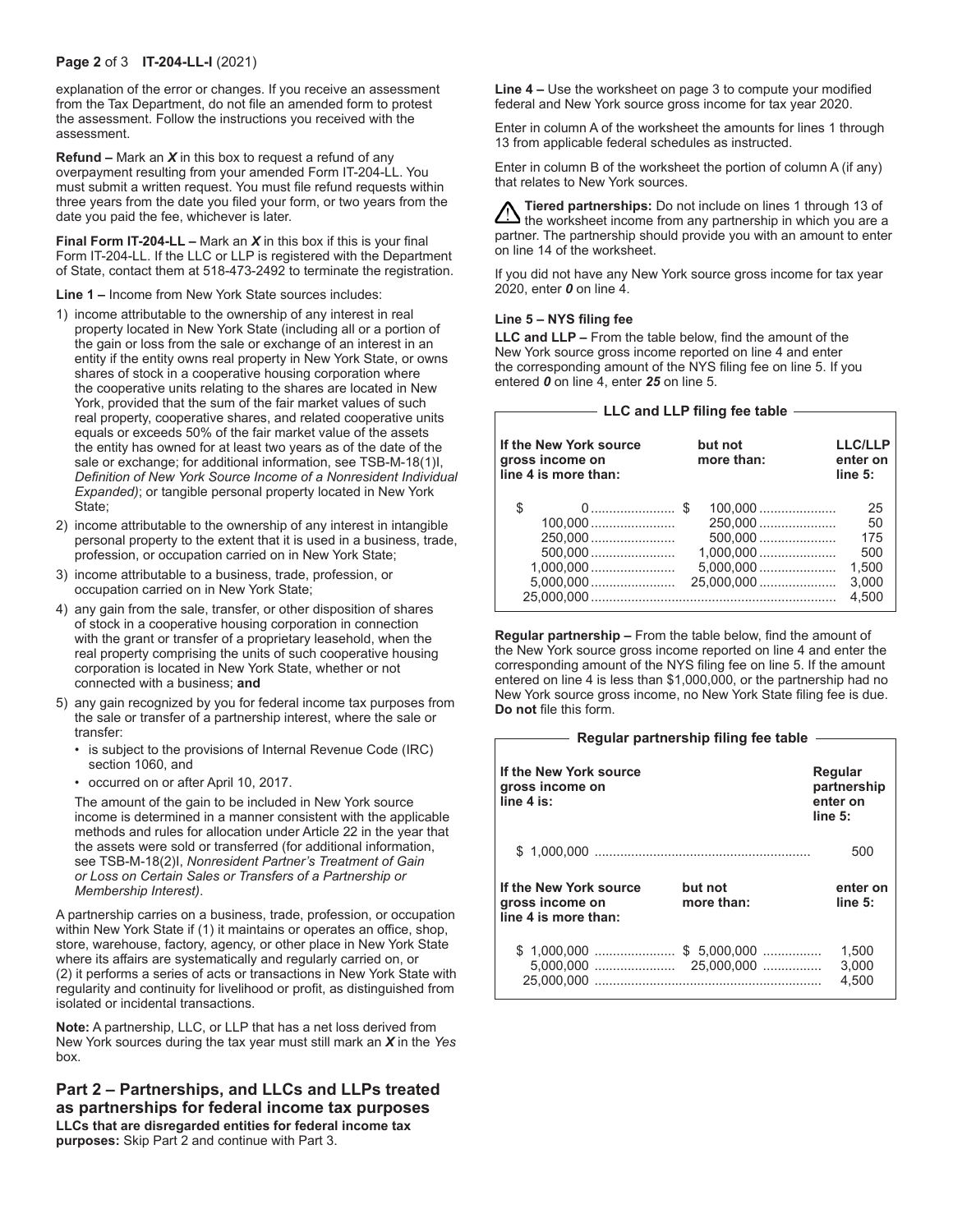#### **Page 2** of 3 **IT-204-LL-I** (2021)

explanation of the error or changes. If you receive an assessment from the Tax Department, do not file an amended form to protest the assessment. Follow the instructions you received with the assessment.

**Refund –** Mark an *X* in this box to request a refund of any overpayment resulting from your amended Form IT-204-LL. You must submit a written request. You must file refund requests within three years from the date you filed your form, or two years from the date you paid the fee, whichever is later.

**Final Form IT-204-LL –** Mark an *X* in this box if this is your final Form IT-204-LL. If the LLC or LLP is registered with the Department of State, contact them at 518-473-2492 to terminate the registration.

**Line 1 –** Income from New York State sources includes:

- 1) income attributable to the ownership of any interest in real property located in New York State (including all or a portion of the gain or loss from the sale or exchange of an interest in an entity if the entity owns real property in New York State, or owns shares of stock in a cooperative housing corporation where the cooperative units relating to the shares are located in New York, provided that the sum of the fair market values of such real property, cooperative shares, and related cooperative units equals or exceeds 50% of the fair market value of the assets the entity has owned for at least two years as of the date of the sale or exchange; for additional information, see TSB-M-18(1)I, *Definition of New York Source Income of a Nonresident Individual Expanded)*; or tangible personal property located in New York State;
- 2) income attributable to the ownership of any interest in intangible personal property to the extent that it is used in a business, trade, profession, or occupation carried on in New York State;
- 3) income attributable to a business, trade, profession, or occupation carried on in New York State;
- 4) any gain from the sale, transfer, or other disposition of shares of stock in a cooperative housing corporation in connection with the grant or transfer of a proprietary leasehold, when the real property comprising the units of such cooperative housing corporation is located in New York State, whether or not connected with a business; **and**
- 5) any gain recognized by you for federal income tax purposes from the sale or transfer of a partnership interest, where the sale or transfer:
	- is subject to the provisions of Internal Revenue Code (IRC) section 1060, and
	- occurred on or after April 10, 2017.

The amount of the gain to be included in New York source income is determined in a manner consistent with the applicable methods and rules for allocation under Article 22 in the year that the assets were sold or transferred (for additional information, see TSB-M-18(2)I, *Nonresident Partner's Treatment of Gain or Loss on Certain Sales or Transfers of a Partnership or Membership Interest)*.

A partnership carries on a business, trade, profession, or occupation within New York State if (1) it maintains or operates an office, shop, store, warehouse, factory, agency, or other place in New York State where its affairs are systematically and regularly carried on, or (2) it performs a series of acts or transactions in New York State with regularity and continuity for livelihood or profit, as distinguished from isolated or incidental transactions.

**Note:** A partnership, LLC, or LLP that has a net loss derived from New York sources during the tax year must still mark an *X* in the *Yes* box.

**Part 2 – Partnerships, and LLCs and LLPs treated as partnerships for federal income tax purposes LLCs that are disregarded entities for federal income tax purposes:** Skip Part 2 and continue with Part 3.

**Line 4 –** Use the worksheet on page 3 to compute your modified federal and New York source gross income for tax year 2020.

Enter in column A of the worksheet the amounts for lines 1 through 13 from applicable federal schedules as instructed.

Enter in column B of the worksheet the portion of column A (if any) that relates to New York sources.

**Tiered partnerships:** Do not include on lines 1 through 13 of  $\sum$  the worksheet income from any partnership in which you are a partner. The partnership should provide you with an amount to enter on line 14 of the worksheet.

If you did not have any New York source gross income for tax year 2020, enter *0* on line 4.

#### **Line 5 – NYS filing fee**

**LLC and LLP –** From the table below, find the amount of the New York source gross income reported on line 4 and enter the corresponding amount of the NYS filing fee on line 5. If you entered *0* on line 4, enter *25* on line 5.

| LLC and LLP filing fee table —                                    |                                                 |                                                   |  |  |  |  |
|-------------------------------------------------------------------|-------------------------------------------------|---------------------------------------------------|--|--|--|--|
|                                                                   |                                                 |                                                   |  |  |  |  |
| If the New York source<br>gross income on<br>line 4 is more than: | but not<br>more than:                           | <b>LLC/LLP</b><br>enter on<br>line 5:             |  |  |  |  |
| \$<br>250,000<br>$500.000$                                        | $100.000$<br>250,000<br>$500.000$<br>25,000,000 | 25<br>50<br>175<br>500<br>1.500<br>3,000<br>4.500 |  |  |  |  |

**Regular partnership –** From the table below, find the amount of the New York source gross income reported on line 4 and enter the corresponding amount of the NYS filing fee on line 5. If the amount entered on line 4 is less than \$1,000,000, or the partnership had no New York source gross income, no New York State filing fee is due. **Do not** file this form.

| Regular partnership filing fee table                              |                       |                                               |  |  |  |
|-------------------------------------------------------------------|-----------------------|-----------------------------------------------|--|--|--|
| If the New York source<br>gross income on<br>line 4 is:           |                       | Regular<br>partnership<br>enter on<br>line 5: |  |  |  |
|                                                                   |                       | 500                                           |  |  |  |
| If the New York source<br>gross income on<br>line 4 is more than: | but not<br>more than: | enter on<br>line 5:                           |  |  |  |
|                                                                   |                       | 1,500<br>3,000<br>4.500                       |  |  |  |